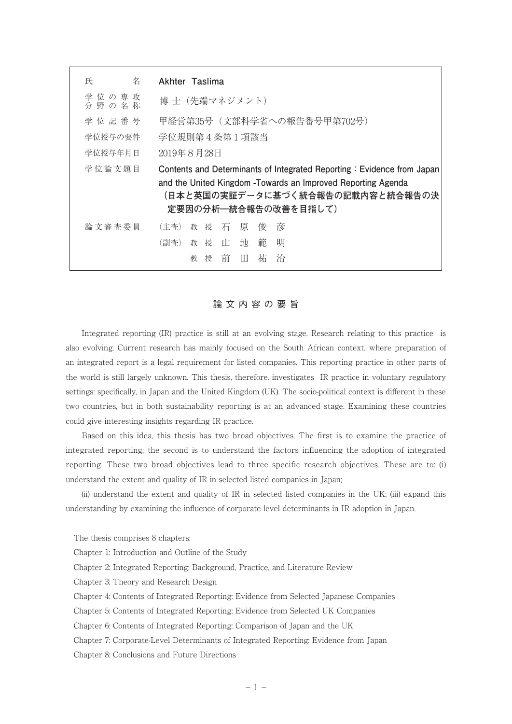| 氏<br>名                 | Akhter Taslima                                                                                                            |
|------------------------|---------------------------------------------------------------------------------------------------------------------------|
| 学 位 の 専 攻<br>分 野 の 名 称 | 博 十(先端マネジメント)                                                                                                             |
| 学 位 記 番 号              | 甲経営第35号 (文部科学省への報告番号甲第702号)                                                                                               |
| 学位授与の要件                | 学位規則第4条第1項該当                                                                                                              |
| 学位授与年月日                | 2019年8月28日                                                                                                                |
| 学位論文題目                 | Contents and Determinants of Integrated Reporting: Evidence from Japan                                                    |
|                        | and the United Kingdom - Towards an Improved Reporting Agenda<br>(日本と英国の実証データに基づく統合報告の記載内容と統合報告の決<br>定要因の分析–統合報告の改善を目指して) |
| 論文審査委員                 | 彦<br>教授<br>石原<br>(主杳)<br>俊                                                                                                |
|                        | 明<br>範<br>地<br>教授<br>$\mathbf{u}$<br>(副杳)                                                                                 |
|                        | 前<br>祐<br>治<br>$_{\rm H}$<br>授<br>教                                                                                       |

## 論文内容の要旨

 Integrated reporting (IR) practice is still at an evolving stage. Research relating to this practice is also evolving. Current research has mainly focused on the South African context, where preparation of an integrated report is a legal requirement for listed companies. This reporting practice in other parts of the world is still largely unknown. This thesis, therefore, investigates IR practice in voluntary regulatory settings: specifically, in Japan and the United Kingdom (UK). The socio-political context is different in these two countries, but in both sustainability reporting is at an advanced stage. Examining these countries could give interesting insights regarding IR practice.

 Based on this idea, this thesis has two broad objectives. The first is to examine the practice of integrated reporting; the second is to understand the factors influencing the adoption of integrated reporting. These two broad objectives lead to three specific research objectives. These are to: (i) understand the extent and quality of IR in selected listed companies in Japan;

 (ii) understand the extent and quality of IR in selected listed companies in the UK; (iii) expand this understanding by examining the influence of corporate level determinants in IR adoption in Japan.

The thesis comprises 8 chapters:

- Chapter 1: Introduction and Outline of the Study
- Chapter 2: Integrated Reporting: Background, Practice, and Literature Review

Chapter 3: Theory and Research Design

Chapter 4: Contents of Integrated Reporting: Evidence from Selected Japanese Companies

Chapter 5: Contents of Integrated Reporting: Evidence from Selected UK Companies

- Chapter 6: Contents of Integrated Reporting: Comparison of Japan and the UK
- Chapter 7: Corporate-Level Determinants of Integrated Reporting: Evidence from Japan

Chapter 8: Conclusions and Future Directions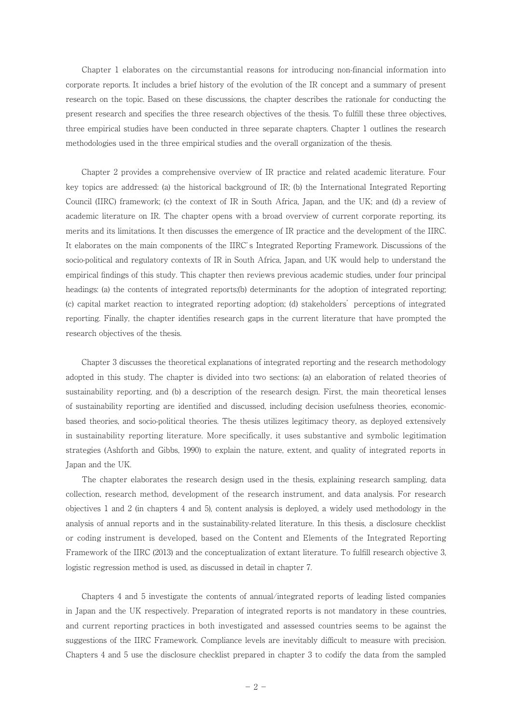Chapter 1 elaborates on the circumstantial reasons for introducing non-financial information into corporate reports. It includes a brief history of the evolution of the IR concept and a summary of present research on the topic. Based on these discussions, the chapter describes the rationale for conducting the present research and specifies the three research objectives of the thesis. To fulfill these three objectives, three empirical studies have been conducted in three separate chapters. Chapter 1 outlines the research methodologies used in the three empirical studies and the overall organization of the thesis.

 Chapter 2 provides a comprehensive overview of IR practice and related academic literature. Four key topics are addressed: (a) the historical background of IR; (b) the International Integrated Reporting Council (IIRC) framework; (c) the context of IR in South Africa, Japan, and the UK; and (d) a review of academic literature on IR. The chapter opens with a broad overview of current corporate reporting, its merits and its limitations. It then discusses the emergence of IR practice and the development of the IIRC. It elaborates on the main components of the IIRC's Integrated Reporting Framework. Discussions of the socio-political and regulatory contexts of IR in South Africa, Japan, and UK would help to understand the empirical findings of this study. This chapter then reviews previous academic studies, under four principal headings: (a) the contents of integrated reports;(b) determinants for the adoption of integrated reporting; (c) capital market reaction to integrated reporting adoption; (d) stakeholders' perceptions of integrated reporting. Finally, the chapter identifies research gaps in the current literature that have prompted the research objectives of the thesis.

 Chapter 3 discusses the theoretical explanations of integrated reporting and the research methodology adopted in this study. The chapter is divided into two sections: (a) an elaboration of related theories of sustainability reporting, and (b) a description of the research design. First, the main theoretical lenses of sustainability reporting are identified and discussed, including decision usefulness theories, economicbased theories, and socio-political theories. The thesis utilizes legitimacy theory, as deployed extensively in sustainability reporting literature. More specifically, it uses substantive and symbolic legitimation strategies (Ashforth and Gibbs, 1990) to explain the nature, extent, and quality of integrated reports in Japan and the UK.

 The chapter elaborates the research design used in the thesis, explaining research sampling, data collection, research method, development of the research instrument, and data analysis. For research objectives 1 and 2 (in chapters 4 and 5), content analysis is deployed, a widely used methodology in the analysis of annual reports and in the sustainability-related literature. In this thesis, a disclosure checklist or coding instrument is developed, based on the Content and Elements of the Integrated Reporting Framework of the IIRC (2013) and the conceptualization of extant literature. To fulfill research objective 3, logistic regression method is used, as discussed in detail in chapter 7.

 Chapters 4 and 5 investigate the contents of annual/integrated reports of leading listed companies in Japan and the UK respectively. Preparation of integrated reports is not mandatory in these countries, and current reporting practices in both investigated and assessed countries seems to be against the suggestions of the IIRC Framework. Compliance levels are inevitably difficult to measure with precision. Chapters 4 and 5 use the disclosure checklist prepared in chapter 3 to codify the data from the sampled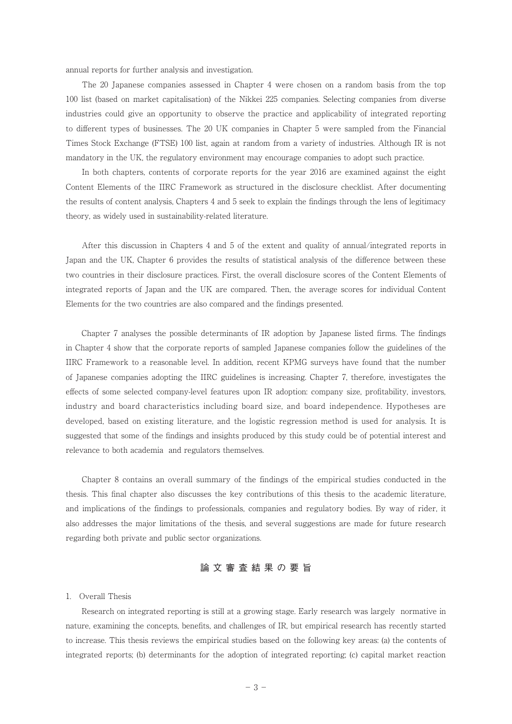annual reports for further analysis and investigation.

 The 20 Japanese companies assessed in Chapter 4 were chosen on a random basis from the top 100 list (based on market capitalisation) of the Nikkei 225 companies. Selecting companies from diverse industries could give an opportunity to observe the practice and applicability of integrated reporting to different types of businesses. The 20 UK companies in Chapter 5 were sampled from the Financial Times Stock Exchange (FTSE) 100 list, again at random from a variety of industries. Although IR is not mandatory in the UK, the regulatory environment may encourage companies to adopt such practice.

 In both chapters, contents of corporate reports for the year 2016 are examined against the eight Content Elements of the IIRC Framework as structured in the disclosure checklist. After documenting the results of content analysis, Chapters 4 and 5 seek to explain the findings through the lens of legitimacy theory, as widely used in sustainability-related literature.

 After this discussion in Chapters 4 and 5 of the extent and quality of annual/integrated reports in Japan and the UK, Chapter 6 provides the results of statistical analysis of the difference between these two countries in their disclosure practices. First, the overall disclosure scores of the Content Elements of integrated reports of Japan and the UK are compared. Then, the average scores for individual Content Elements for the two countries are also compared and the findings presented.

 Chapter 7 analyses the possible determinants of IR adoption by Japanese listed firms. The findings in Chapter 4 show that the corporate reports of sampled Japanese companies follow the guidelines of the IIRC Framework to a reasonable level. In addition, recent KPMG surveys have found that the number of Japanese companies adopting the IIRC guidelines is increasing. Chapter 7, therefore, investigates the effects of some selected company-level features upon IR adoption: company size, profitability, investors, industry and board characteristics including board size, and board independence. Hypotheses are developed, based on existing literature, and the logistic regression method is used for analysis. It is suggested that some of the findings and insights produced by this study could be of potential interest and relevance to both academia and regulators themselves.

 Chapter 8 contains an overall summary of the findings of the empirical studies conducted in the thesis. This final chapter also discusses the key contributions of this thesis to the academic literature, and implications of the findings to professionals, companies and regulatory bodies. By way of rider, it also addresses the major limitations of the thesis, and several suggestions are made for future research regarding both private and public sector organizations.

# 論文審査結果の要旨

## 1. Overall Thesis

 Research on integrated reporting is still at a growing stage. Early research was largely normative in nature, examining the concepts, benefits, and challenges of IR, but empirical research has recently started to increase. This thesis reviews the empirical studies based on the following key areas: (a) the contents of integrated reports; (b) determinants for the adoption of integrated reporting; (c) capital market reaction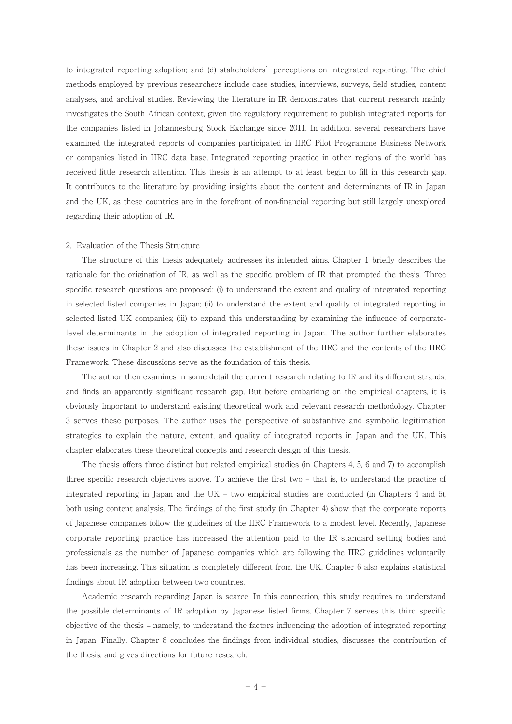to integrated reporting adoption; and (d) stakeholders' perceptions on integrated reporting. The chief methods employed by previous researchers include case studies, interviews, surveys, field studies, content analyses, and archival studies. Reviewing the literature in IR demonstrates that current research mainly investigates the South African context, given the regulatory requirement to publish integrated reports for the companies listed in Johannesburg Stock Exchange since 2011. In addition, several researchers have examined the integrated reports of companies participated in IIRC Pilot Programme Business Network or companies listed in IIRC data base. Integrated reporting practice in other regions of the world has received little research attention. This thesis is an attempt to at least begin to fill in this research gap. It contributes to the literature by providing insights about the content and determinants of IR in Japan and the UK, as these countries are in the forefront of non-financial reporting but still largely unexplored regarding their adoption of IR.

#### 2. Evaluation of the Thesis Structure

 The structure of this thesis adequately addresses its intended aims. Chapter 1 briefly describes the rationale for the origination of IR, as well as the specific problem of IR that prompted the thesis. Three specific research questions are proposed: (i) to understand the extent and quality of integrated reporting in selected listed companies in Japan; (ii) to understand the extent and quality of integrated reporting in selected listed UK companies; (iii) to expand this understanding by examining the influence of corporatelevel determinants in the adoption of integrated reporting in Japan. The author further elaborates these issues in Chapter 2 and also discusses the establishment of the IIRC and the contents of the IIRC Framework. These discussions serve as the foundation of this thesis.

 The author then examines in some detail the current research relating to IR and its different strands, and finds an apparently significant research gap. But before embarking on the empirical chapters, it is obviously important to understand existing theoretical work and relevant research methodology. Chapter 3 serves these purposes. The author uses the perspective of substantive and symbolic legitimation strategies to explain the nature, extent, and quality of integrated reports in Japan and the UK. This chapter elaborates these theoretical concepts and research design of this thesis.

 The thesis offers three distinct but related empirical studies (in Chapters 4, 5, 6 and 7) to accomplish three specific research objectives above. To achieve the first two – that is, to understand the practice of integrated reporting in Japan and the UK – two empirical studies are conducted (in Chapters 4 and 5), both using content analysis. The findings of the first study (in Chapter 4) show that the corporate reports of Japanese companies follow the guidelines of the IIRC Framework to a modest level. Recently, Japanese corporate reporting practice has increased the attention paid to the IR standard setting bodies and professionals as the number of Japanese companies which are following the IIRC guidelines voluntarily has been increasing. This situation is completely different from the UK. Chapter 6 also explains statistical findings about IR adoption between two countries.

 Academic research regarding Japan is scarce. In this connection, this study requires to understand the possible determinants of IR adoption by Japanese listed firms. Chapter 7 serves this third specific objective of the thesis – namely, to understand the factors influencing the adoption of integrated reporting in Japan. Finally, Chapter 8 concludes the findings from individual studies, discusses the contribution of the thesis, and gives directions for future research.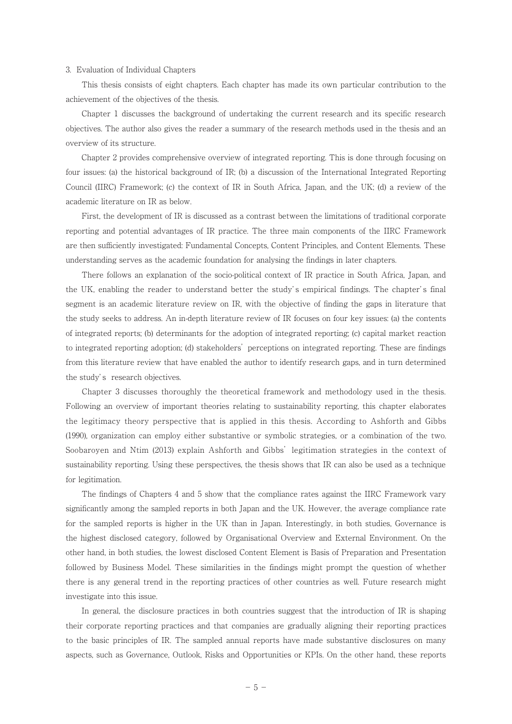#### 3. Evaluation of Individual Chapters

 This thesis consists of eight chapters. Each chapter has made its own particular contribution to the achievement of the objectives of the thesis.

 Chapter 1 discusses the background of undertaking the current research and its specific research objectives. The author also gives the reader a summary of the research methods used in the thesis and an overview of its structure.

 Chapter 2 provides comprehensive overview of integrated reporting. This is done through focusing on four issues: (a) the historical background of IR; (b) a discussion of the International Integrated Reporting Council (IIRC) Framework; (c) the context of IR in South Africa, Japan, and the UK; (d) a review of the academic literature on IR as below.

 First, the development of IR is discussed as a contrast between the limitations of traditional corporate reporting and potential advantages of IR practice. The three main components of the IIRC Framework are then sufficiently investigated: Fundamental Concepts, Content Principles, and Content Elements. These understanding serves as the academic foundation for analysing the findings in later chapters.

 There follows an explanation of the socio-political context of IR practice in South Africa, Japan, and the UK, enabling the reader to understand better the study' s empirical findings. The chapter' s final segment is an academic literature review on IR, with the objective of finding the gaps in literature that the study seeks to address. An in-depth literature review of IR focuses on four key issues: (a) the contents of integrated reports; (b) determinants for the adoption of integrated reporting; (c) capital market reaction to integrated reporting adoption; (d) stakeholders' perceptions on integrated reporting. These are findings from this literature review that have enabled the author to identify research gaps, and in turn determined the study' s research objectives.

 Chapter 3 discusses thoroughly the theoretical framework and methodology used in the thesis. Following an overview of important theories relating to sustainability reporting, this chapter elaborates the legitimacy theory perspective that is applied in this thesis. According to Ashforth and Gibbs (1990), organization can employ either substantive or symbolic strategies, or a combination of the two. Soobaroyen and Ntim (2013) explain Ashforth and Gibbs' legitimation strategies in the context of sustainability reporting. Using these perspectives, the thesis shows that IR can also be used as a technique for legitimation.

 The findings of Chapters 4 and 5 show that the compliance rates against the IIRC Framework vary significantly among the sampled reports in both Japan and the UK. However, the average compliance rate for the sampled reports is higher in the UK than in Japan. Interestingly, in both studies, Governance is the highest disclosed category, followed by Organisational Overview and External Environment. On the other hand, in both studies, the lowest disclosed Content Element is Basis of Preparation and Presentation followed by Business Model. These similarities in the findings might prompt the question of whether there is any general trend in the reporting practices of other countries as well. Future research might investigate into this issue.

 In general, the disclosure practices in both countries suggest that the introduction of IR is shaping their corporate reporting practices and that companies are gradually aligning their reporting practices to the basic principles of IR. The sampled annual reports have made substantive disclosures on many aspects, such as Governance, Outlook, Risks and Opportunities or KPIs. On the other hand, these reports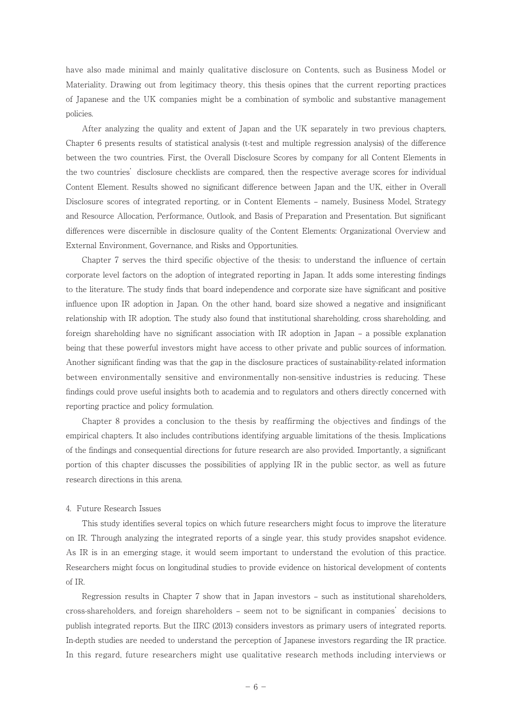have also made minimal and mainly qualitative disclosure on Contents, such as Business Model or Materiality. Drawing out from legitimacy theory, this thesis opines that the current reporting practices of Japanese and the UK companies might be a combination of symbolic and substantive management policies.

 After analyzing the quality and extent of Japan and the UK separately in two previous chapters, Chapter 6 presents results of statistical analysis (t-test and multiple regression analysis) of the difference between the two countries. First, the Overall Disclosure Scores by company for all Content Elements in the two countries' disclosure checklists are compared, then the respective average scores for individual Content Element. Results showed no significant difference between Japan and the UK, either in Overall Disclosure scores of integrated reporting, or in Content Elements – namely, Business Model, Strategy and Resource Allocation, Performance, Outlook, and Basis of Preparation and Presentation. But significant differences were discernible in disclosure quality of the Content Elements: Organizational Overview and External Environment, Governance, and Risks and Opportunities.

 Chapter 7 serves the third specific objective of the thesis: to understand the influence of certain corporate level factors on the adoption of integrated reporting in Japan. It adds some interesting findings to the literature. The study finds that board independence and corporate size have significant and positive influence upon IR adoption in Japan. On the other hand, board size showed a negative and insignificant relationship with IR adoption. The study also found that institutional shareholding, cross shareholding, and foreign shareholding have no significant association with IR adoption in Japan – a possible explanation being that these powerful investors might have access to other private and public sources of information. Another significant finding was that the gap in the disclosure practices of sustainability-related information between environmentally sensitive and environmentally non-sensitive industries is reducing. These findings could prove useful insights both to academia and to regulators and others directly concerned with reporting practice and policy formulation.

 Chapter 8 provides a conclusion to the thesis by reaffirming the objectives and findings of the empirical chapters. It also includes contributions identifying arguable limitations of the thesis. Implications of the findings and consequential directions for future research are also provided. Importantly, a significant portion of this chapter discusses the possibilities of applying IR in the public sector, as well as future research directions in this arena.

#### 4. Future Research Issues

 This study identifies several topics on which future researchers might focus to improve the literature on IR. Through analyzing the integrated reports of a single year, this study provides snapshot evidence. As IR is in an emerging stage, it would seem important to understand the evolution of this practice. Researchers might focus on longitudinal studies to provide evidence on historical development of contents of IR.

 Regression results in Chapter 7 show that in Japan investors – such as institutional shareholders, cross-shareholders, and foreign shareholders – seem not to be significant in companies' decisions to publish integrated reports. But the IIRC (2013) considers investors as primary users of integrated reports. In-depth studies are needed to understand the perception of Japanese investors regarding the IR practice. In this regard, future researchers might use qualitative research methods including interviews or